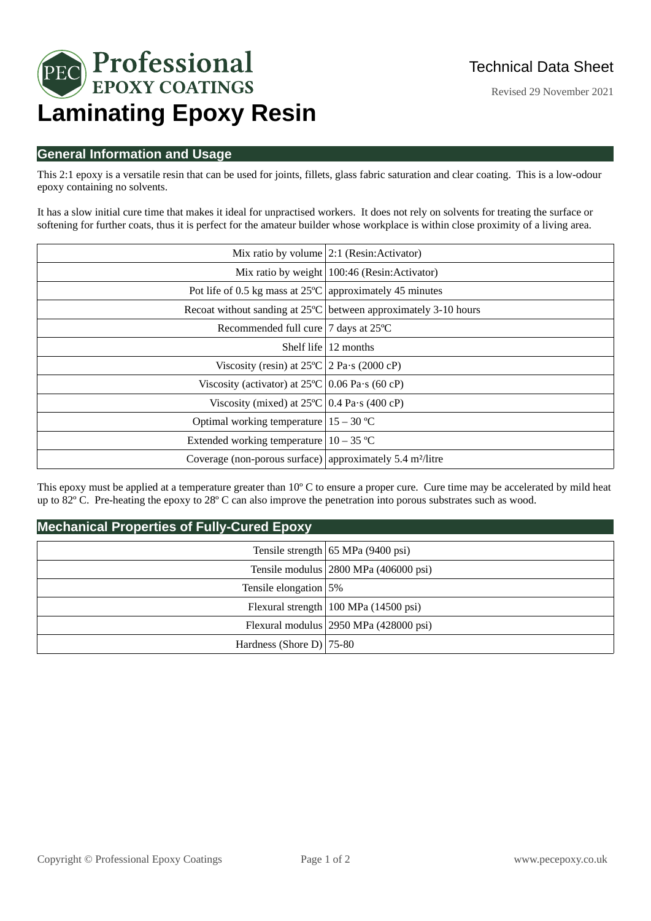

Revised 29 November 2021

# **General Information and Usage**

This 2:1 epoxy is a versatile resin that can be used for joints, fillets, glass fabric saturation and clear coating. This is a low-odour epoxy containing no solvents.

It has a slow initial cure time that makes it ideal for unpractised workers. It does not rely on solvents for treating the surface or softening for further coats, thus it is perfect for the amateur builder whose workplace is within close proximity of a living area.

|                                                                       | Mix ratio by volume $ 2:1$ (Resin: Activator)                             |
|-----------------------------------------------------------------------|---------------------------------------------------------------------------|
|                                                                       | Mix ratio by weight 100:46 (Resin: Activator)                             |
| Pot life of 0.5 kg mass at $25^{\circ}$ C approximately 45 minutes    |                                                                           |
|                                                                       | Recoat without sanding at $25^{\circ}$ C between approximately 3-10 hours |
| Recommended full cure   7 days at 25°C                                |                                                                           |
|                                                                       | Shelf life $\vert$ 12 months                                              |
| Viscosity (resin) at $25^{\circ}C$ 2 Pa $\cdot$ s (2000 cP)           |                                                                           |
| Viscosity (activator) at $25^{\circ}$ C 0.06 Pa·s (60 cP)             |                                                                           |
| Viscosity (mixed) at $25^{\circ}$ C   0.4 Pa $\cdot$ s (400 cP)       |                                                                           |
| Optimal working temperature $ 15 - 30$ °C                             |                                                                           |
| Extended working temperature $ 10 - 35$ °C                            |                                                                           |
| Coverage (non-porous surface) approximately 5.4 m <sup>2</sup> /litre |                                                                           |

This epoxy must be applied at a temperature greater than  $10^{\circ}$  C to ensure a proper cure. Cure time may be accelerated by mild heat up to  $82^{\circ}$  C. Pre-heating the epoxy to  $28^{\circ}$  C can also improve the penetration into porous substrates such as wood.

# **Mechanical Properties of Fully-Cured Epoxy**

|                             | Tensile strength $ 65 \text{ MPa} (9400 \text{ psi}) $ |
|-----------------------------|--------------------------------------------------------|
|                             | Tensile modulus   2800 MPa (406000 psi)                |
| Tensile elongation 5%       |                                                        |
|                             | Flexural strength   100 MPa (14500 psi)                |
|                             | Flexural modulus 2950 MPa (428000 psi)                 |
| Hardness (Shore D) $ 75-80$ |                                                        |